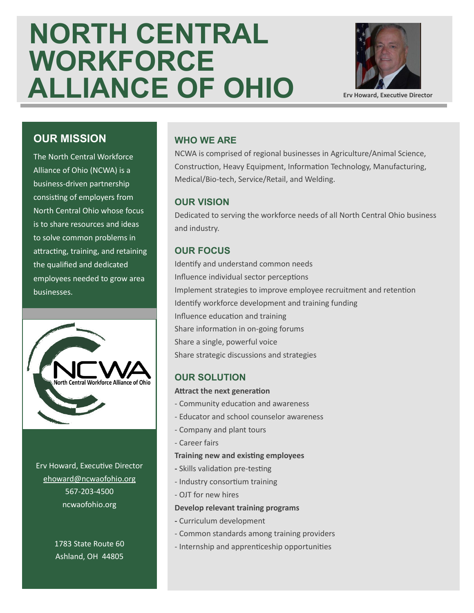# **NORTH CENTRAL WORKFORCE ALLIANCE OF OHIO**



**Erv Howard, Executive Director**

#### **OUR MISSION**

The North Central Workforce Alliance of Ohio (NCWA) is a business-driven partnership consisting of employers from North Central Ohio whose focus is to share resources and ideas to solve common problems in attracting, training, and retaining the qualified and dedicated employees needed to grow area businesses.



Erv Howard, Executive Director [ehoward@ncwaofohio.org](mailto:ehoward@ncwaofohio.org) 567-203-4500 ncwaofohio.org

> 1783 State Route 60 Ashland, OH 44805

#### **WHO WE ARE**

NCWA is comprised of regional businesses in Agriculture/Animal Science, Construction, Heavy Equipment, Information Technology, Manufacturing, Medical/Bio-tech, Service/Retail, and Welding.

#### **OUR VISION**

Dedicated to serving the workforce needs of all North Central Ohio business and industry.

#### **OUR FOCUS**

Identify and understand common needs Influence individual sector perceptions Implement strategies to improve employee recruitment and retention Identify workforce development and training funding Influence education and training Share information in on-going forums Share a single, powerful voice Share strategic discussions and strategies

#### **OUR SOLUTION**

#### **Attract the next generation**

- Community education and awareness
- Educator and school counselor awareness
- Company and plant tours
- Career fairs

#### **Training new and existing employees**

- **-** Skills validation pre-testing
- Industry consortium training
- OJT for new hires

#### **Develop relevant training programs**

- **-** Curriculum development
- Common standards among training providers
- Internship and apprenticeship opportunities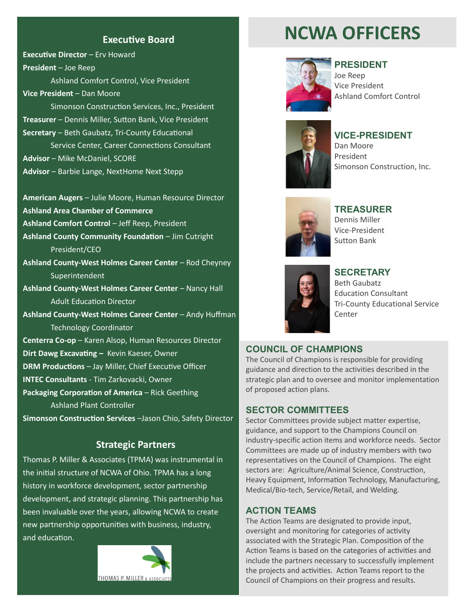#### **Executive Board**

**Executive Director** – Erv Howard **President** – Joe Reep

Ashland Comfort Control, Vice President **Vice President** – Dan Moore

Simonson Construction Services, Inc., President **Treasurer** – Dennis Miller, Sutton Bank, Vice President **Secretary** – Beth Gaubatz, Tri-County Educational

Service Center, Career Connections Consultant **Advisor** – Mike McDaniel, SCORE

**Advisor** – Barbie Lange, NextHome Next Stepp

**American Augers** – Julie Moore, Human Resource Director **Ashland Area Chamber of Commerce** 

**Ashland Comfort Control** – Jeff Reep, President

**Ashland County Community Foundation** – Jim Cutright President/CEO

**Ashland County-West Holmes Career Center** – Rod Cheyney **Superintendent** 

**Ashland County-West Holmes Career Center** – Nancy Hall Adult Education Director

**Ashland County-West Holmes Career Center** – Andy Huffman Technology Coordinator

**Centerra Co-op** – Karen Alsop, Human Resources Director

**Dirt Dawg Excavating –** Kevin Kaeser, Owner

**DRM Productions** – Jay Miller, Chief Executive Officer

**INTEC Consultants** - Tim Zarkovacki, Owner

**Packaging Corporation of America** – Rick Geething Ashland Plant Controller

**Simonson Construction Services** –Jason Chio, Safety Director

#### **Strategic Partners**

Thomas P. Miller & Associates (TPMA) was instrumental in the initial structure of NCWA of Ohio. TPMA has a long history in workforce development, sector partnership development, and strategic planning. This partnership has been invaluable over the years, allowing NCWA to create new partnership opportunities with business, industry, and education.



## **NCWA OFFICERS**



#### **PRESIDENT**

Joe Reep Vice President Ashland Comfort Control



**VICE-PRESIDENT**

Dan Moore President Simonson Construction, Inc.



**TREASURER** Dennis Miller Vice-President Sutton Bank



#### **SECRETARY**

Beth Gaubatz Education Consultant Tri-County Educational Service Center

#### **COUNCIL OF CHAMPIONS**

The Council of Champions is responsible for providing guidance and direction to the activities described in the strategic plan and to oversee and monitor implementation of proposed action plans.

#### **SECTOR COMMITTEES**

Sector Committees provide subject matter expertise, guidance, and support to the Champions Council on industry-specific action items and workforce needs. Sector Committees are made up of industry members with two representatives on the Council of Champions. The eight sectors are: Agriculture/Animal Science, Construction, Heavy Equipment, Information Technology, Manufacturing, Medical/Bio-tech, Service/Retail, and Welding.

#### **ACTION TEAMS**

The Action Teams are designated to provide input, oversight and monitoring for categories of activity associated with the Strategic Plan. Composition of the Action Teams is based on the categories of activities and include the partners necessary to successfully implement the projects and activities. Action Teams report to the Council of Champions on their progress and results.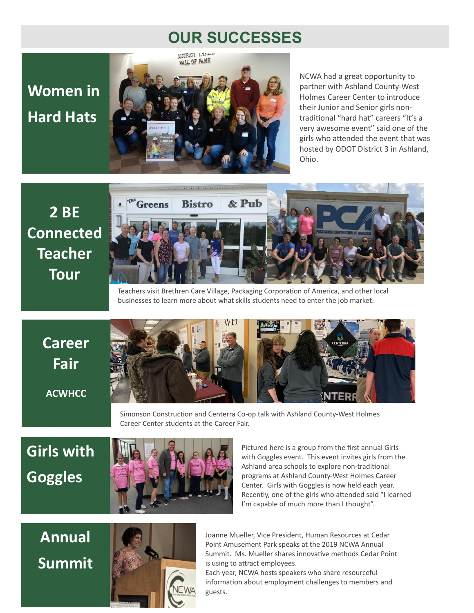### **OUR SUCCESSES**

# **Women in Hard Hats**



NCWA had a great opportunity to partner with Ashland County-West Holmes Career Center to introduce their Junior and Senior girls nontraditional "hard hat" careers "It's a very awesome event" said one of the girls who attended the event that was hosted by ODOT District 3 in Ashland, Ohio.

# **2 BE Connected Teacher Tour**



Teachers visit Brethren Care Village, Packaging Corporation of America, and other local businesses to learn more about what skills students need to enter the job market.

**Career Fair ACWHCC**



Simonson Construction and Centerra Co-op talk with Ashland County-West Holmes Career Center students at the Career Fair.

**Girls with Goggles**



Pictured here is a group from the first annual Girls with Goggles event. This event invites girls from the Ashland area schools to explore non-traditional programs at Ashland County-West Holmes Career Center. Girls with Goggles is now held each year. Recently, one of the girls who attended said "I learned I'm capable of much more than I thought".

**Annual Summit**



Joanne Mueller, Vice President, Human Resources at Cedar Point Amusement Park speaks at the 2019 NCWA Annual Summit. Ms. Mueller shares innovative methods Cedar Point is using to attract employees.

Each year, NCWA hosts speakers who share resourceful information about employment challenges to members and guests.